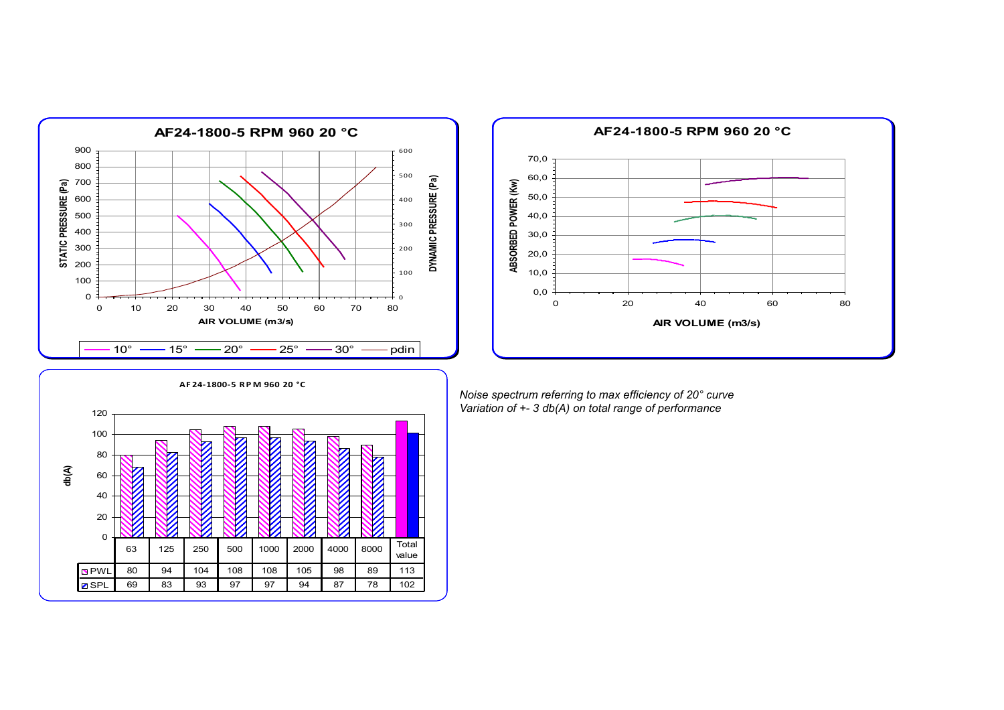



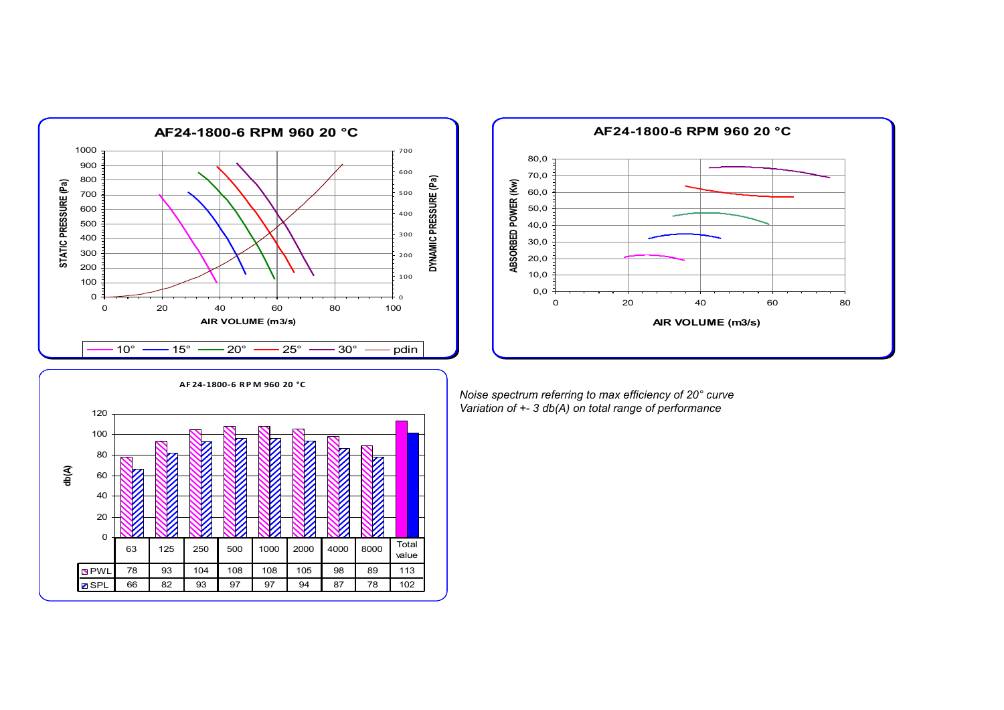



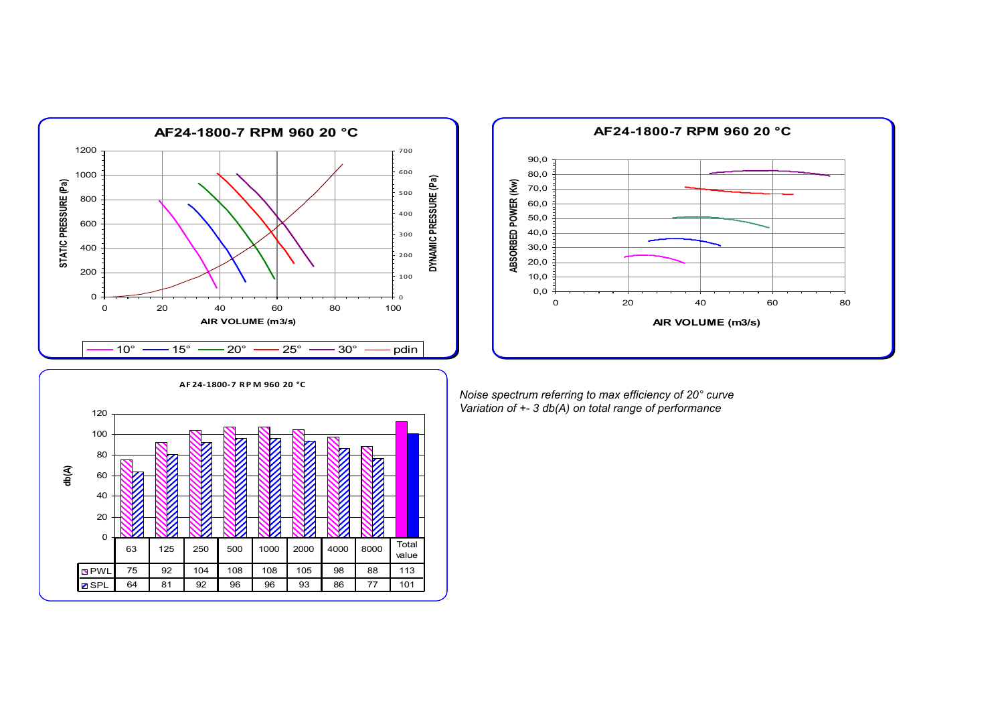



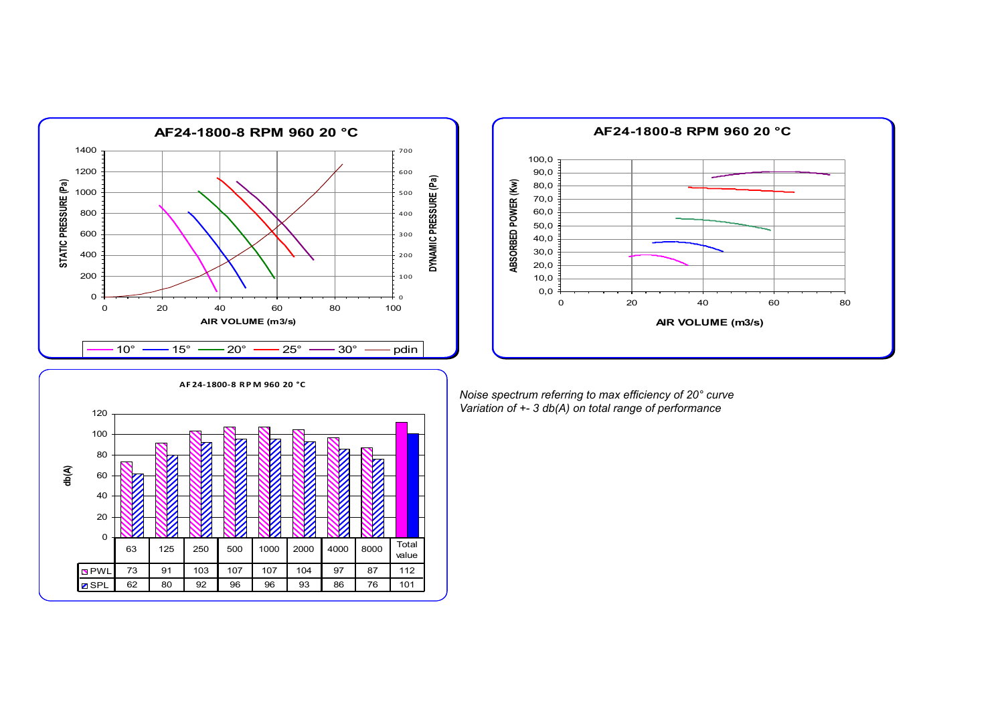



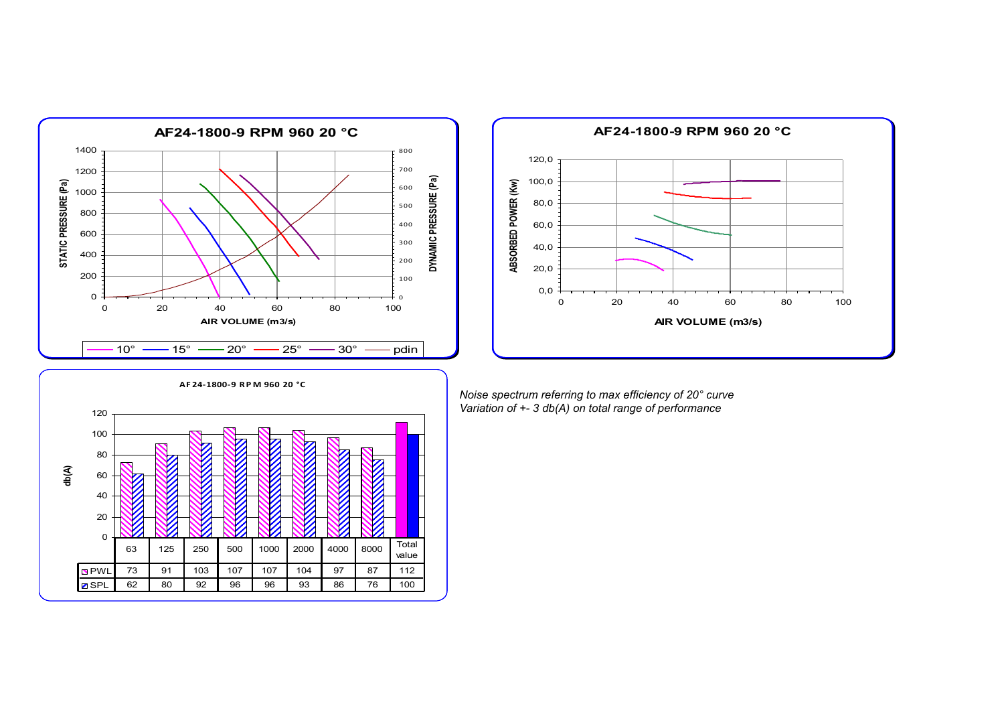



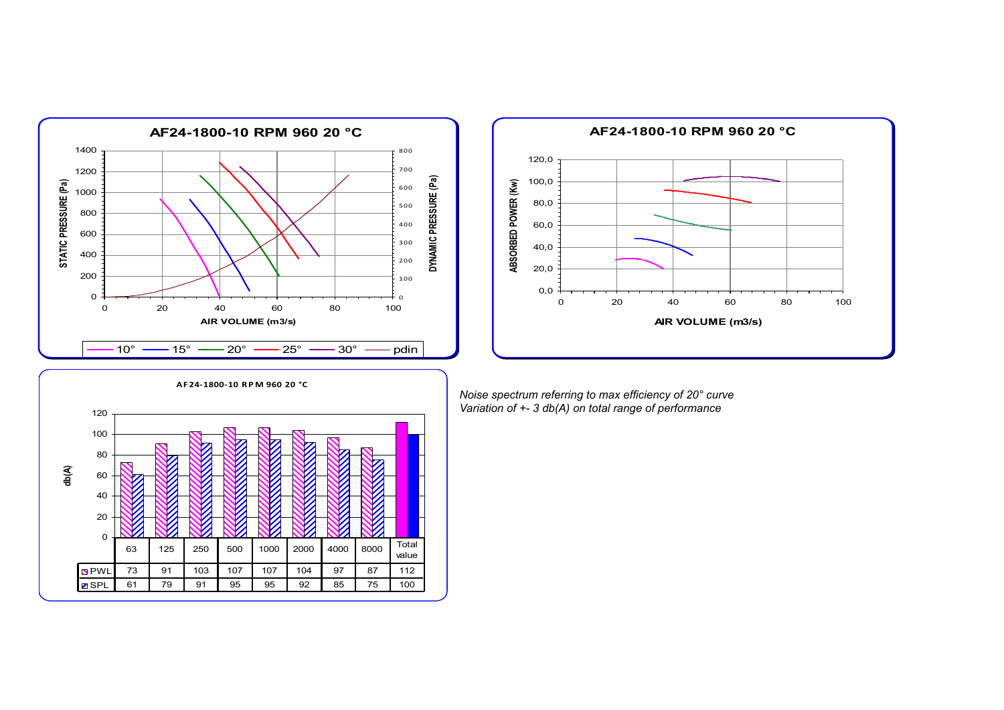